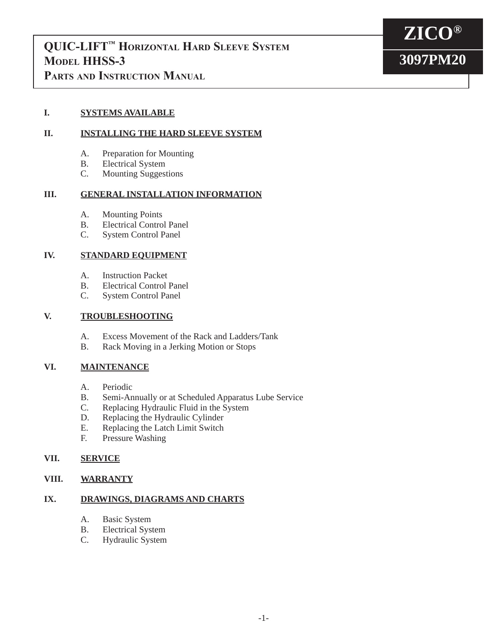

**ZICO®**

**3097PM20**

## **Parts and Instruction Manual**

## **I. SYSTEMS AVAILABLE**

## **II. INSTALLING THE HARD SLEEVE SYSTEM**

- A. Preparation for Mounting
- B. Electrical System
- C. Mounting Suggestions

## **III. GENERAL INSTALLATION INFORMATION**

- A. Mounting Points<br>B. Electrical Contro
- Electrical Control Panel
- C. System Control Panel

## **IV. STANDARD EQUIPMENT**

- A. Instruction Packet
- B. Electrical Control Panel<br>C. System Control Panel
- System Control Panel

## **V. TROUBLESHOOTING**

- A. Excess Movement of the Rack and Ladders/Tank
- B. Rack Moving in a Jerking Motion or Stops

## **VI. MAINTENANCE**

- A. Periodic
- B. Semi-Annually or at Scheduled Apparatus Lube Service<br>C. Replacing Hydraulic Fluid in the System
- Replacing Hydraulic Fluid in the System
- D. Replacing the Hydraulic Cylinder
- E. Replacing the Latch Limit Switch<br>F. Pressure Washing
- Pressure Washing

## **VII. SERVICE**

## **VIII. WARRANTY**

## **IX. DRAWINGS, DIAGRAMS AND CHARTS**

- A. Basic System
- B. Electrical System
- C. Hydraulic System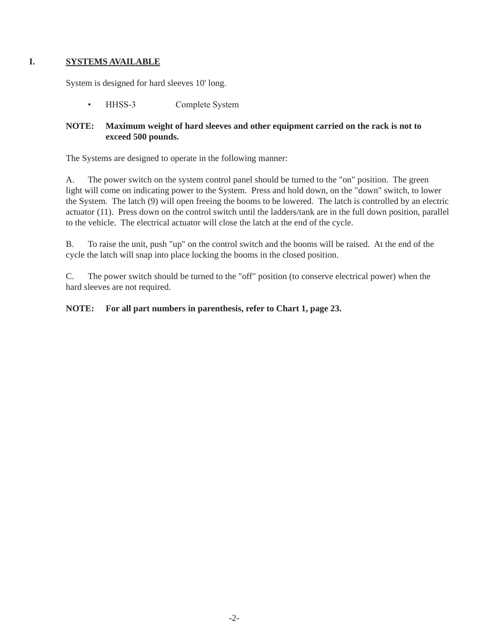## **I. SYSTEMS AVAILABLE**

System is designed for hard sleeves 10' long.

• HHSS-3 Complete System

## **NOTE: Maximum weight of hard sleeves and other equipment carried on the rack is not to exceed 500 pounds.**

The Systems are designed to operate in the following manner:

A. The power switch on the system control panel should be turned to the "on" position. The green light will come on indicating power to the System. Press and hold down, on the "down" switch, to lower the System. The latch (9) will open freeing the booms to be lowered. The latch is controlled by an electric actuator (11). Press down on the control switch until the ladders/tank are in the full down position, parallel to the vehicle. The electrical actuator will close the latch at the end of the cycle.

B. To raise the unit, push "up" on the control switch and the booms will be raised. At the end of the cycle the latch will snap into place locking the booms in the closed position.

C. The power switch should be turned to the "off" position (to conserve electrical power) when the hard sleeves are not required.

## **NOTE: For all part numbers in parenthesis, refer to Chart 1, page 23.**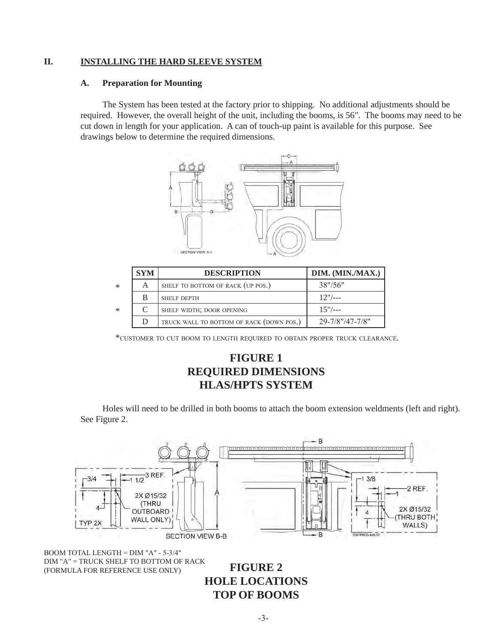## **II. INSTALLING THE HARD SLEEVE SYSTEM**

#### **A. Preparation for Mounting**

The System has been tested at the factory prior to shipping. No additional adjustments should be required. However, the overall height of the unit, including the booms, is 56". The booms may need to be cut down in length for your application. A can of touch-up paint is available for this purpose. See drawings below to determine the required dimensions.



|        | <b>SYM</b> | <b>DESCRIPTION</b>                       | DIM. (MIN./MAX.) |
|--------|------------|------------------------------------------|------------------|
| $\ast$ | А          | SHELF TO BOTTOM OF RACK (UP POS.)        | 38''/56''        |
|        | B          | <b>SHELF DEPTH</b>                       | $12"/--$         |
| $\ast$ |            | SHELF WIDTH; DOOR OPENING                | $15"/--$         |
|        | D          | TRUCK WALL TO BOTTOM OF RACK (DOWN POS.) | 29-7/8"/47-7/8"  |

\*customer to cut boom to length required to obtain proper truck clearance.

## **FIGURE 1 REQUIRED DIMENSIONS HLAS/HPTS SYSTEM**

 Holes will need to be drilled in both booms to attach the boom extension weldments (left and right). See Figure 2.



boom total length = dim "a" - 5-3/4" dim "a" = truck shelf to bottom of rack (formula for reference use only)

**FIGURE 2 HOLE LOCATIONS TOP OF BOOMS**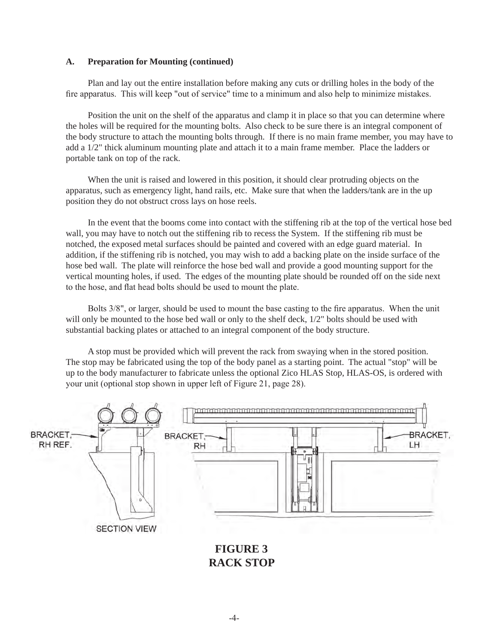#### **A. Preparation for Mounting (continued)**

Plan and lay out the entire installation before making any cuts or drilling holes in the body of the fire apparatus. This will keep "out of service" time to a minimum and also help to minimize mistakes.

Position the unit on the shelf of the apparatus and clamp it in place so that you can determine where the holes will be required for the mounting bolts. Also check to be sure there is an integral component of the body structure to attach the mounting bolts through. If there is no main frame member, you may have to add a 1/2" thick aluminum mounting plate and attach it to a main frame member. Place the ladders or portable tank on top of the rack.

When the unit is raised and lowered in this position, it should clear protruding objects on the apparatus, such as emergency light, hand rails, etc. Make sure that when the ladders/tank are in the up position they do not obstruct cross lays on hose reels.

In the event that the booms come into contact with the stiffening rib at the top of the vertical hose bed wall, you may have to notch out the stiffening rib to recess the System. If the stiffening rib must be notched, the exposed metal surfaces should be painted and covered with an edge guard material. In addition, if the stiffening rib is notched, you may wish to add a backing plate on the inside surface of the hose bed wall. The plate will reinforce the hose bed wall and provide a good mounting support for the vertical mounting holes, if used. The edges of the mounting plate should be rounded off on the side next to the hose, and flat head bolts should be used to mount the plate.

 Bolts 3/8", or larger, should be used to mount the base casting to the fire apparatus. When the unit will only be mounted to the hose bed wall or only to the shelf deck,  $1/2$ " bolts should be used with substantial backing plates or attached to an integral component of the body structure.

A stop must be provided which will prevent the rack from swaying when in the stored position. The stop may be fabricated using the top of the body panel as a starting point. The actual "stop" will be up to the body manufacturer to fabricate unless the optional Zico HLAS Stop, HLAS-OS, is ordered with your unit (optional stop shown in upper left of Figure 21, page 28).



**FIGURE 3 RACK STOP**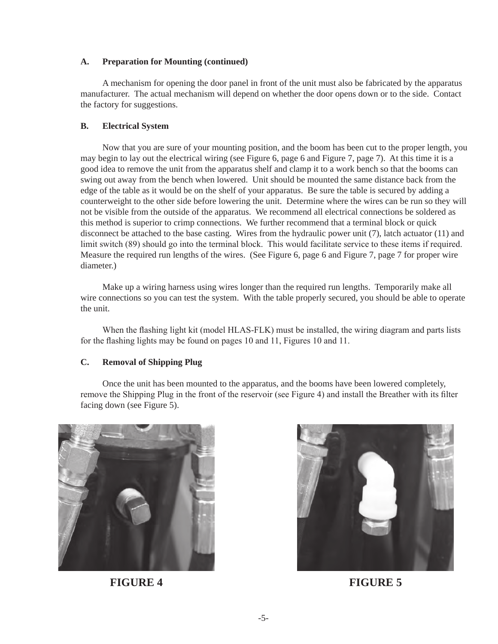#### **A. Preparation for Mounting (continued)**

A mechanism for opening the door panel in front of the unit must also be fabricated by the apparatus manufacturer. The actual mechanism will depend on whether the door opens down or to the side. Contact the factory for suggestions.

#### **B. Electrical System**

Now that you are sure of your mounting position, and the boom has been cut to the proper length, you may begin to lay out the electrical wiring (see Figure 6, page 6 and Figure 7, page 7). At this time it is a good idea to remove the unit from the apparatus shelf and clamp it to a work bench so that the booms can swing out away from the bench when lowered. Unit should be mounted the same distance back from the edge of the table as it would be on the shelf of your apparatus. Be sure the table is secured by adding a counterweight to the other side before lowering the unit. Determine where the wires can be run so they will not be visible from the outside of the apparatus. We recommend all electrical connections be soldered as this method is superior to crimp connections. We further recommend that a terminal block or quick disconnect be attached to the base casting. Wires from the hydraulic power unit (7), latch actuator (11) and limit switch (89) should go into the terminal block. This would facilitate service to these items if required. Measure the required run lengths of the wires. (See Figure 6, page 6 and Figure 7, page 7 for proper wire diameter.)

Make up a wiring harness using wires longer than the required run lengths. Temporarily make all wire connections so you can test the system. With the table properly secured, you should be able to operate the unit.

 When the flashing light kit (model HLAS-FLK) must be installed, the wiring diagram and parts lists for the flashing lights may be found on pages 10 and 11, Figures 10 and 11.

#### **C. Removal of Shipping Plug**

 Once the unit has been mounted to the apparatus, and the booms have been lowered completely, remove the Shipping Plug in the front of the reservoir (see Figure 4) and install the Breather with its filter facing down (see Figure 5).





**FIGURE 4 FIGURE 5**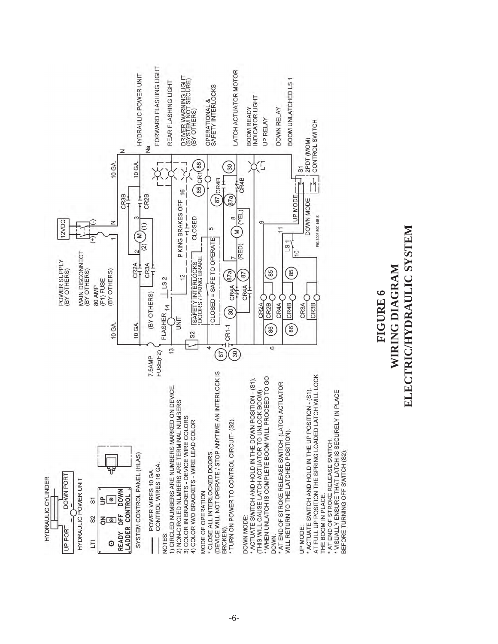

# ELECTRIC/HYDRAULIC SYSTEM **ELECTRIC/HYDRAULIC SYSTEMWIRING DIAGRAM WIRING DIAGRAM** FIGURE 6 **FIGURE 6**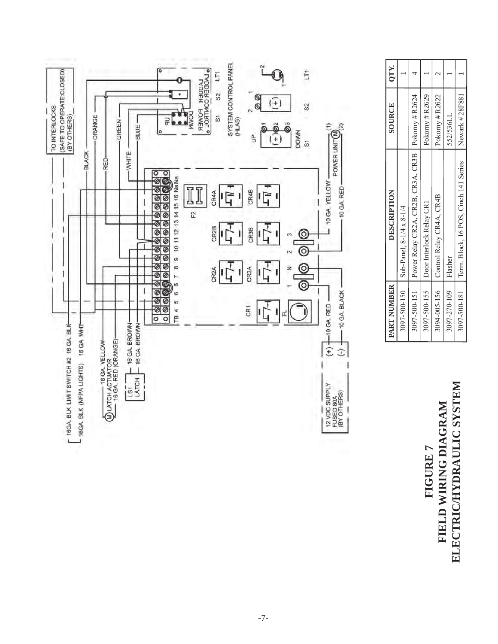

QTY. **PART NUMBER DESCRIPTION SOURCE QTY.** 4  $\mathcal{L}$  $\overline{a}$  $\overline{ }$  $1\frac{3}{1}$  Sub-Panel, 8-1/4  $\frac{3}{1}$  Sub-Panel, 9-1/4 1 3097-500-151 Power Relay CR2A, CR2B, CR3A, CR3B Pokorny # R2624 4 3097-500-155 Door Interlock Relay CR1 Pokorny # R2629 1  $3094-005-156$  Control Relay CR4B Pokorny # R2622 | 2 1 3097-270-109 Flasher 52/536LL 1 1 1 1 3097-500-181 Term. Block, 16 POS, Cinch 141 Series Newark # 28F881 1 Pokorny # R2624 Newark #28F881 Pokorny # R2629 Pokorny # R2622 SOURCE 552/536LL Power Relay CR2A, CR2B, CR3A, CR3B Term. Block, 16 POS, Cinch 141 Series DESCRIPTION Control Relay CR4A, CR4B Door Interlock Relay CR1 Sub-Panel, 8-1/4 x 8-1/4 Flasher PART NUMBER 3097-500-150 3097-500-155 3094-005-156 3097-270-109 3097-500-181 3097-500-151

# ELECTRIC/HYDRAULIC SYSTEM **ELECTRIC/HYDRAULIC SYSTEM**FIELD WIRING DIAGRAM **FIELD WIRING DIAGRAM** FIGURE 7 **FIGURE 7**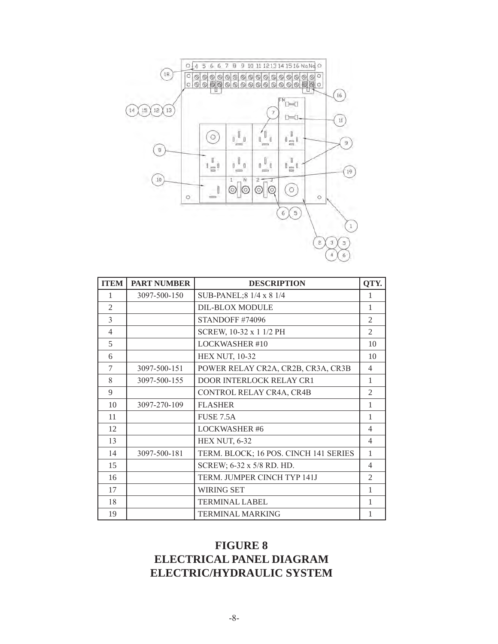

| <b>ITEM</b>    | <b>PART NUMBER</b> | <b>DESCRIPTION</b>                    | OTY.           |
|----------------|--------------------|---------------------------------------|----------------|
| 1              | 3097-500-150       | SUB-PANEL; 8 1/4 x 8 1/4              | 1              |
| $\mathfrak{D}$ |                    | <b>DIL-BLOX MODULE</b>                | 1              |
| 3              |                    | STANDOFF #74096                       | $\mathfrak{2}$ |
| 4              |                    | SCREW, 10-32 x 1 1/2 PH               | $\mathfrak{D}$ |
| 5              |                    | <b>LOCKWASHER #10</b>                 | 10             |
| 6              |                    | <b>HEX NUT, 10-32</b>                 | 10             |
| 7              | 3097-500-151       | POWER RELAY CR2A, CR2B, CR3A, CR3B    | $\overline{4}$ |
| 8              | 3097-500-155       | <b>DOOR INTERLOCK RELAY CR1</b>       | 1              |
| 9              |                    | CONTROL RELAY CR4A, CR4B              | 2              |
| 10             | 3097-270-109       | <b>FLASHER</b>                        | 1              |
| 11             |                    | <b>FUSE 7.5A</b>                      | 1              |
| 12             |                    | <b>LOCKWASHER #6</b>                  | $\overline{4}$ |
| 13             |                    | <b>HEX NUT, 6-32</b>                  | $\overline{4}$ |
| 14             | 3097-500-181       | TERM. BLOCK; 16 POS. CINCH 141 SERIES | $\mathbf{1}$   |
| 15             |                    | SCREW; 6-32 x 5/8 RD. HD.             | 4              |
| 16             |                    | TERM. JUMPER CINCH TYP 141J           | 2              |
| 17             |                    | <b>WIRING SET</b>                     | 1              |
| 18             |                    | <b>TERMINAL LABEL</b>                 | 1              |
| 19             |                    | <b>TERMINAL MARKING</b>               | 1              |

## **FIGURE 8 ELECTRICAL PANEL DIAGRAM ELECTRIC/HYDRAULIC SYSTEM**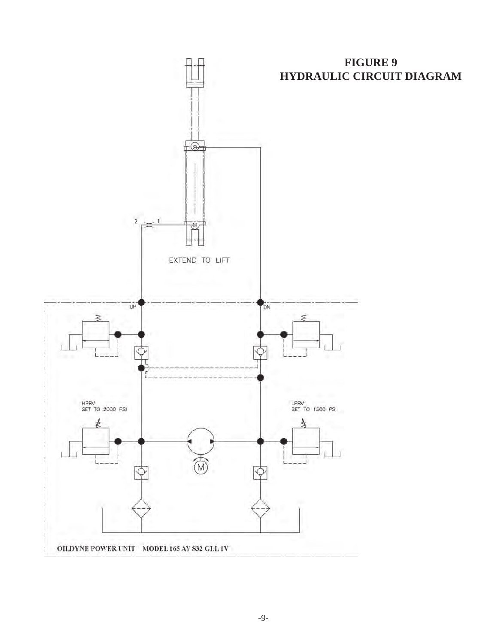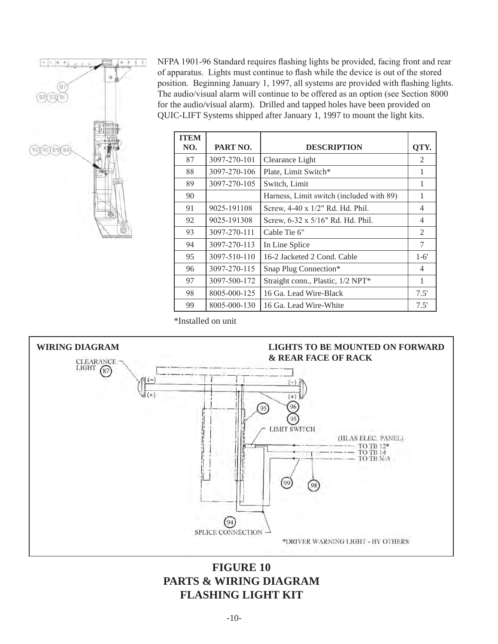

NFPA 1901-96 Standard requires flashing lights be provided, facing front and rear of apparatus. Lights must continue to flash while the device is out of the stored position. Beginning January 1, 1997, all systems are provided with flashing lights. The audio/visual alarm will continue to be offered as an option (see Section 8000 for the audio/visual alarm). Drilled and tapped holes have been provided on QUIC-LIFT Systems shipped after January 1, 1997 to mount the light kits.

| <b>ITEM</b><br>NO. | PART NO.     | <b>DESCRIPTION</b>                       | OTY.           |
|--------------------|--------------|------------------------------------------|----------------|
|                    |              |                                          |                |
| 87                 | 3097-270-101 | Clearance Light                          | 2              |
| 88                 | 3097-270-106 | Plate, Limit Switch*                     | 1              |
| 89                 | 3097-270-105 | Switch, Limit                            | 1              |
| 90                 |              | Harness, Limit switch (included with 89) |                |
| 91                 | 9025-191108  | Screw, 4-40 x 1/2" Rd. Hd. Phil.         | 4              |
| 92                 | 9025-191308  | Screw, 6-32 x 5/16" Rd. Hd. Phil.        | 4              |
| 93                 | 3097-270-111 | Cable Tie 6"                             | 2              |
| 94                 | 3097-270-113 | In Line Splice                           | 7              |
| 95                 | 3097-510-110 | 16-2 Jacketed 2 Cond. Cable              | $1-6'$         |
| 96                 | 3097-270-115 | Snap Plug Connection*                    | $\overline{4}$ |
| 97                 | 3097-500-172 | Straight conn., Plastic, 1/2 NPT*        | 1              |
| 98                 | 8005-000-125 | 16 Ga. Lead Wire-Black                   | 7.5'           |
| 99                 | 8005-000-130 | 16 Ga. Lead Wire-White                   | 7.5'           |

\*Installed on unit



## **FIGURE 10 PARTS & WIRING DIAGRAM FLASHING LIGHT KIT**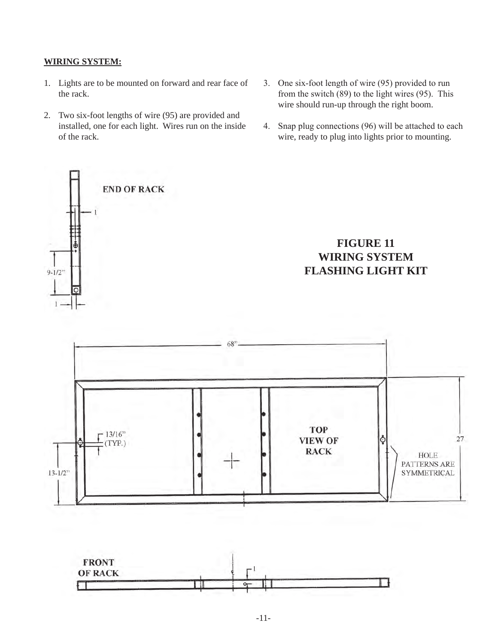## **WIRING SYSTEM:**

- 1. Lights are to be mounted on forward and rear face of the rack.
- 2. Two six-foot lengths of wire (95) are provided and installed, one for each light. Wires run on the inside of the rack.
- 3. One six-foot length of wire (95) provided to run from the switch (89) to the light wires (95). This wire should run-up through the right boom.
- 4. Snap plug connections (96) will be attached to each wire, ready to plug into lights prior to mounting.





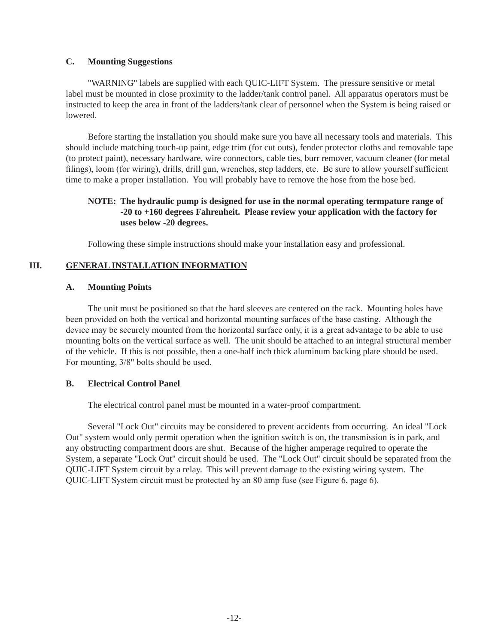#### **C. Mounting Suggestions**

"WARNING" labels are supplied with each QUIC-LIFT System. The pressure sensitive or metal label must be mounted in close proximity to the ladder/tank control panel. All apparatus operators must be instructed to keep the area in front of the ladders/tank clear of personnel when the System is being raised or lowered.

Before starting the installation you should make sure you have all necessary tools and materials. This should include matching touch-up paint, edge trim (for cut outs), fender protector cloths and removable tape (to protect paint), necessary hardware, wire connectors, cable ties, burr remover, vacuum cleaner (for metal filings), loom (for wiring), drills, drill gun, wrenches, step ladders, etc. Be sure to allow yourself sufficient time to make a proper installation. You will probably have to remove the hose from the hose bed.

## **NOTE: The hydraulic pump is designed for use in the normal operating termpature range of -20 to +160 degrees Fahrenheit. Please review your application with the factory for uses below -20 degrees.**

Following these simple instructions should make your installation easy and professional.

## **III. GENERAL INSTALLATION INFORMATION**

## **A. Mounting Points**

The unit must be positioned so that the hard sleeves are centered on the rack. Mounting holes have been provided on both the vertical and horizontal mounting surfaces of the base casting. Although the device may be securely mounted from the horizontal surface only, it is a great advantage to be able to use mounting bolts on the vertical surface as well. The unit should be attached to an integral structural member of the vehicle. If this is not possible, then a one-half inch thick aluminum backing plate should be used. For mounting, 3/8" bolts should be used.

## **B. Electrical Control Panel**

The electrical control panel must be mounted in a water-proof compartment.

Several "Lock Out" circuits may be considered to prevent accidents from occurring. An ideal "Lock Out" system would only permit operation when the ignition switch is on, the transmission is in park, and any obstructing compartment doors are shut. Because of the higher amperage required to operate the System, a separate "Lock Out" circuit should be used. The "Lock Out" circuit should be separated from the QUIC-LIFT System circuit by a relay. This will prevent damage to the existing wiring system. The QUIC-LIFT System circuit must be protected by an 80 amp fuse (see Figure 6, page 6).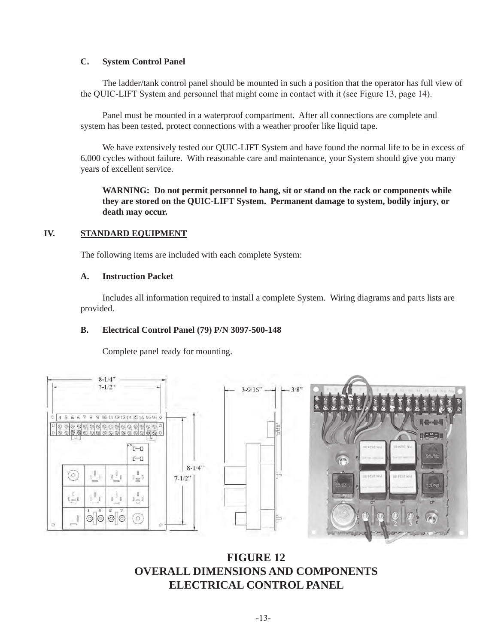## **C. System Control Panel**

The ladder/tank control panel should be mounted in such a position that the operator has full view of the QUIC-LIFT System and personnel that might come in contact with it (see Figure 13, page 14).

Panel must be mounted in a waterproof compartment. After all connections are complete and system has been tested, protect connections with a weather proofer like liquid tape.

We have extensively tested our QUIC-LIFT System and have found the normal life to be in excess of 6,000 cycles without failure. With reasonable care and maintenance, your System should give you many years of excellent service.

**WARNING: Do not permit personnel to hang, sit or stand on the rack or components while they are stored on the QUIC-LIFT System. Permanent damage to system, bodily injury, or death may occur.**

## **IV. STANDARD EQUIPMENT**

The following items are included with each complete System:

## **A. Instruction Packet**

Includes all information required to install a complete System. Wiring diagrams and parts lists are provided.

## **B. Electrical Control Panel (79) P/N 3097-500-148**

Complete panel ready for mounting.



**FIGURE 12 OVERALL DIMENSIONS AND COMPONENTS ELECTRICAL CONTROL PANEL**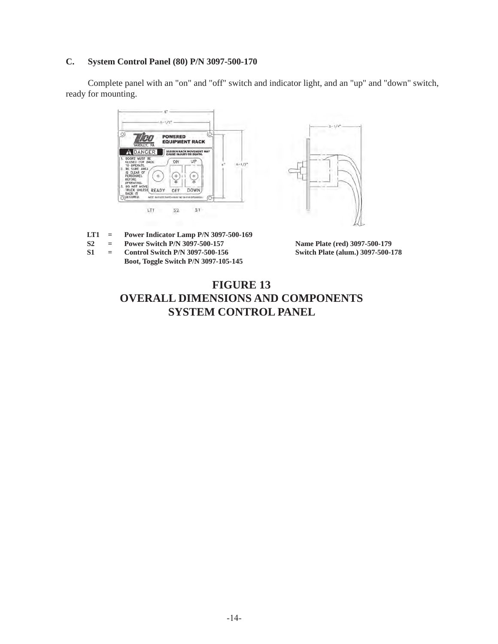#### **C. System Control Panel (80) P/N 3097-500-170**

Complete panel with an "on" and "off" switch and indicator light, and an "up" and "down" switch, ready for mounting.



- **LT1 = Power Indicator Lamp P/N 3097-500-169**
- **S2 = Power Switch P/N 3097-500-157**
- **S1 = Control Switch P/N 3097-500-156 Boot, Toggle Switch P/N 3097-105-145**

**Name Plate (red) 3097-500-179 Switch Plate (alum.) 3097-500-178**

## **FIGURE 13 OVERALL DIMENSIONS AND COMPONENTS SYSTEM CONTROL PANEL**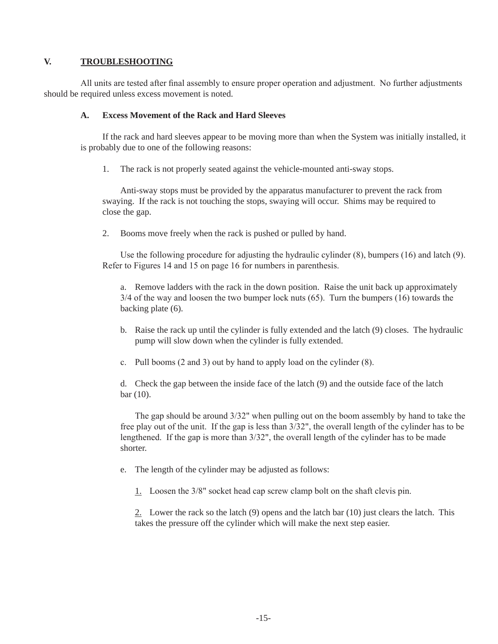## **V. TROUBLESHOOTING**

All units are tested after final assembly to ensure proper operation and adjustment. No further adjustments should be required unless excess movement is noted.

## **A. Excess Movement of the Rack and Hard Sleeves**

If the rack and hard sleeves appear to be moving more than when the System was initially installed, it is probably due to one of the following reasons:

1. The rack is not properly seated against the vehicle-mounted anti-sway stops.

 Anti-sway stops must be provided by the apparatus manufacturer to prevent the rack from swaying. If the rack is not touching the stops, swaying will occur. Shims may be required to close the gap.

2. Booms move freely when the rack is pushed or pulled by hand.

 Use the following procedure for adjusting the hydraulic cylinder (8), bumpers (16) and latch (9). Refer to Figures 14 and 15 on page 16 for numbers in parenthesis.

 a. Remove ladders with the rack in the down position. Raise the unit back up approximately 3/4 of the way and loosen the two bumper lock nuts (65). Turn the bumpers (16) towards the backing plate (6).

- b. Raise the rack up until the cylinder is fully extended and the latch (9) closes. The hydraulic pump will slow down when the cylinder is fully extended.
- c. Pull booms (2 and 3) out by hand to apply load on the cylinder (8).

 d. Check the gap between the inside face of the latch (9) and the outside face of the latch bar (10).

 The gap should be around 3/32" when pulling out on the boom assembly by hand to take the free play out of the unit. If the gap is less than 3/32", the overall length of the cylinder has to be lengthened. If the gap is more than 3/32", the overall length of the cylinder has to be made shorter.

- e. The length of the cylinder may be adjusted as follows:
	- 1. Loosen the 3/8" socket head cap screw clamp bolt on the shaft clevis pin.

 2. Lower the rack so the latch (9) opens and the latch bar (10) just clears the latch. This takes the pressure off the cylinder which will make the next step easier.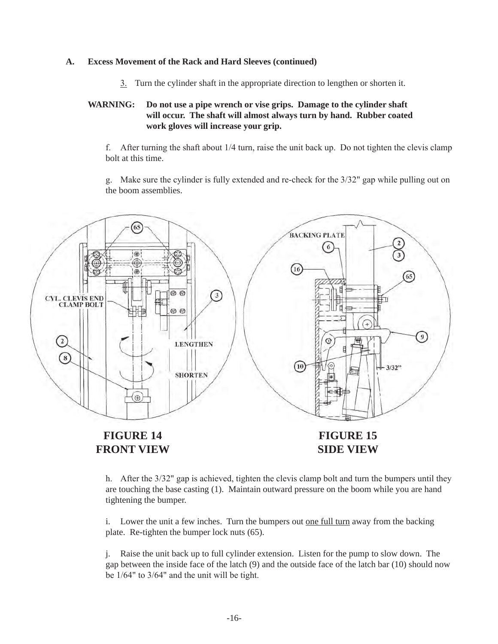#### **A. Excess Movement of the Rack and Hard Sleeves (continued)**

3. Turn the cylinder shaft in the appropriate direction to lengthen or shorten it.

## **WARNING: Do not use a pipe wrench or vise grips. Damage to the cylinder shaft will occur. The shaft will almost always turn by hand. Rubber coated work gloves will increase your grip.**

f. After turning the shaft about 1/4 turn, raise the unit back up. Do not tighten the clevis clamp bolt at this time.

g. Make sure the cylinder is fully extended and re-check for the  $3/32$ " gap while pulling out on the boom assemblies.



## **FRONT VIEW**

**SIDE VIEW**

h. After the 3/32" gap is achieved, tighten the clevis clamp bolt and turn the bumpers until they are touching the base casting (1). Maintain outward pressure on the boom while you are hand tightening the bumper.

i. Lower the unit a few inches. Turn the bumpers out <u>one full turn</u> away from the backing plate. Re-tighten the bumper lock nuts (65).

 j. Raise the unit back up to full cylinder extension. Listen for the pump to slow down. The gap between the inside face of the latch (9) and the outside face of the latch bar (10) should now be 1/64" to 3/64" and the unit will be tight.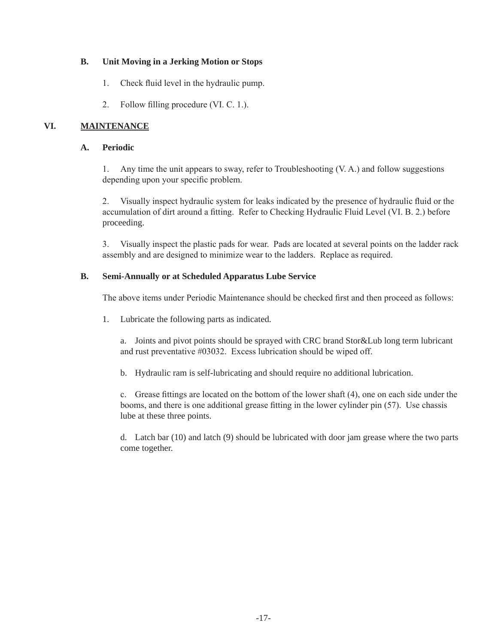## **B. Unit Moving in a Jerking Motion or Stops**

- 1. Check fluid level in the hydraulic pump.
- 2. Follow filling procedure (VI. C. 1.).

## **VI. MAINTENANCE**

## **A. Periodic**

1. Any time the unit appears to sway, refer to Troubleshooting (V. A.) and follow suggestions depending upon your specific problem.

2. Visually inspect hydraulic system for leaks indicated by the presence of hydraulic fluid or the accumulation of dirt around a fitting. Refer to Checking Hydraulic Fluid Level (VI. B. 2.) before proceeding.

 3. Visually inspect the plastic pads for wear. Pads are located at several points on the ladder rack assembly and are designed to minimize wear to the ladders. Replace as required.

## **B. Semi-Annually or at Scheduled Apparatus Lube Service**

 The above items under Periodic Maintenance should be checked first and then proceed as follows:

1. Lubricate the following parts as indicated.

 a. Joints and pivot points should be sprayed with CRC brand Stor&Lub long term lubricant and rust preventative #03032. Excess lubrication should be wiped off.

b. Hydraulic ram is self-lubricating and should require no additional lubrication.

 c. Grease fittings are located on the bottom of the lower shaft (4), one on each side under the booms, and there is one additional grease fitting in the lower cylinder pin (57). Use chassis lube at these three points.

 d. Latch bar (10) and latch (9) should be lubricated with door jam grease where the two parts come together.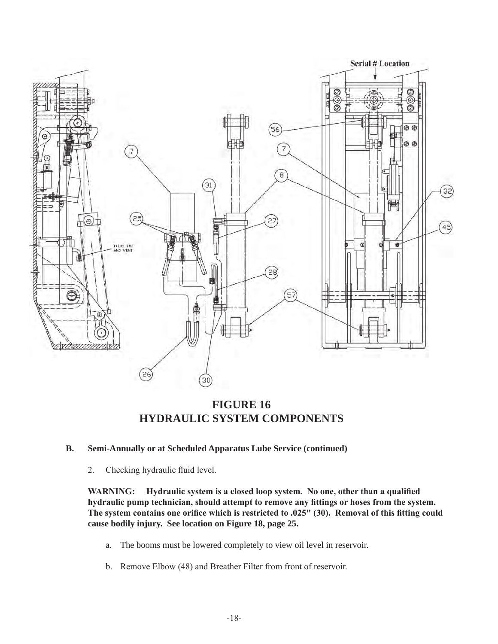

**FIGURE 16 HYDRAULIC SYSTEM COMPONENTS**

- **B. Semi-Annually or at Scheduled Apparatus Lube Service (continued)**
	- 2. Checking hydraulic fluid level.

 **WARNING: Hydraulic system is a closed loop system. No one, other than a qualified hydraulic pump technician, should attempt to remove any fittings or hoses from the system. The system contains one orifice which is restricted to .025" (30). Removal of this fitting could cause bodily injury. See location on Figure 18, page 25.**

- a. The booms must be lowered completely to view oil level in reservoir.
- b. Remove Elbow (48) and Breather Filter from front of reservoir.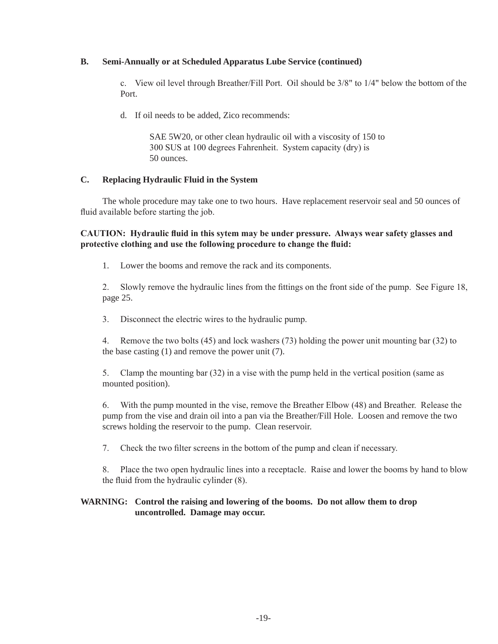## **B. Semi-Annually or at Scheduled Apparatus Lube Service (continued)**

c. View oil level through Breather/Fill Port. Oil should be  $3/8$ " to  $1/4$ " below the bottom of the Port.

d. If oil needs to be added, Zico recommends:

 SAE 5W20, or other clean hydraulic oil with a viscosity of 150 to 300 SUS at 100 degrees Fahrenheit. System capacity (dry) is 50 ounces.

## **C. Replacing Hydraulic Fluid in the System**

The whole procedure may take one to two hours. Have replacement reservoir seal and 50 ounces of fluid available before starting the job.

**CAUTION: Hydraulic fluid in this sytem may be under pressure. Always wear safety glasses and protective clothing and use the following procedure to change the fluid:**

1. Lower the booms and remove the rack and its components.

 2. Slowly remove the hydraulic lines from the fittings on the front side of the pump. See Figure 18, page 25.

 3. Disconnect the electric wires to the hydraulic pump.

 4. Remove the two bolts (45) and lock washers (73) holding the power unit mounting bar (32) to the base casting (1) and remove the power unit (7).

5. Clamp the mounting bar (32) in a vise with the pump held in the vertical position (same as mounted position).

 6. With the pump mounted in the vise, remove the Breather Elbow (48) and Breather. Release the pump from the vise and drain oil into a pan via the Breather/Fill Hole. Loosen and remove the two screws holding the reservoir to the pump. Clean reservoir.

 7. Check the two filter screens in the bottom of the pump and clean if necessary.

8. Place the two open hydraulic lines into a receptacle. Raise and lower the booms by hand to blow the fluid from the hydraulic cylinder (8).

## **WARNING: Control the raising and lowering of the booms. Do not allow them to drop uncontrolled. Damage may occur.**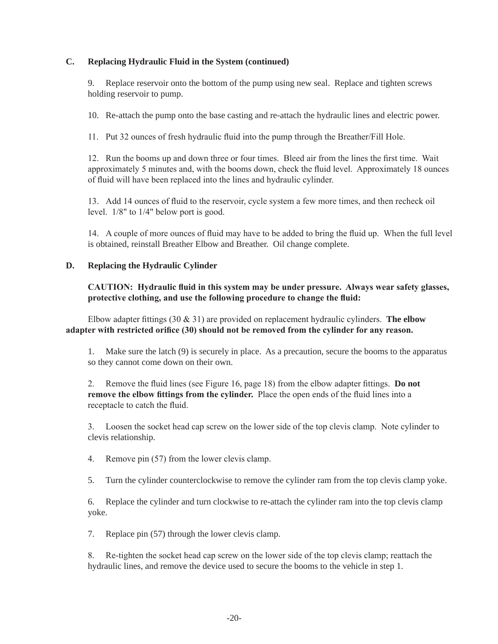## **C. Replacing Hydraulic Fluid in the System (continued)**

9. Replace reservoir onto the bottom of the pump using new seal. Replace and tighten screws holding reservoir to pump.

10. Re-attach the pump onto the base casting and re-attach the hydraulic lines and electric power.

 11. Put 32 ounces of fresh hydraulic fluid into the pump through the Breather/Fill Hole.

 12. Run the booms up and down three or four times. Bleed air from the lines the first time. Wait approximately 5 minutes and, with the booms down, check the fluid level. Approximately 18 ounces of fluid will have been replaced into the lines and hydraulic cylinder.

 13. Add 14 ounces of fluid to the reservoir, cycle system a few more times, and then recheck oil level. 1/8" to 1/4" below port is good.

 14. A couple of more ounces of fluid may have to be added to bring the fluid up. When the full level is obtained, reinstall Breather Elbow and Breather. Oil change complete.

## **D. Replacing the Hydraulic Cylinder**

## **CAUTION: Hydraulic fluid in this system may be under pressure. Always wear safety glasses, protective clothing, and use the following procedure to change the fluid:**

 Elbow adapter fittings (30 & 31) are provided on replacement hydraulic cylinders. **The elbow adapter with restricted orifice (30) should not be removed from the cylinder for any reason.**

1. Make sure the latch (9) is securely in place. As a precaution, secure the booms to the apparatus so they cannot come down on their own.

 2. Remove the fluid lines (see Figure 16, page 18) from the elbow adapter fittings. **Do not remove the elbow fittings from the cylinder.** Place the open ends of the fluid lines into a receptacle to catch the fluid.

 3. Loosen the socket head cap screw on the lower side of the top clevis clamp. Note cylinder to clevis relationship.

 4. Remove pin (57) from the lower clevis clamp.

5. Turn the cylinder counterclockwise to remove the cylinder ram from the top clevis clamp yoke.

6. Replace the cylinder and turn clockwise to re-attach the cylinder ram into the top clevis clamp yoke.

7. Replace pin (57) through the lower clevis clamp.

 8. Re-tighten the socket head cap screw on the lower side of the top clevis clamp; reattach the hydraulic lines, and remove the device used to secure the booms to the vehicle in step 1.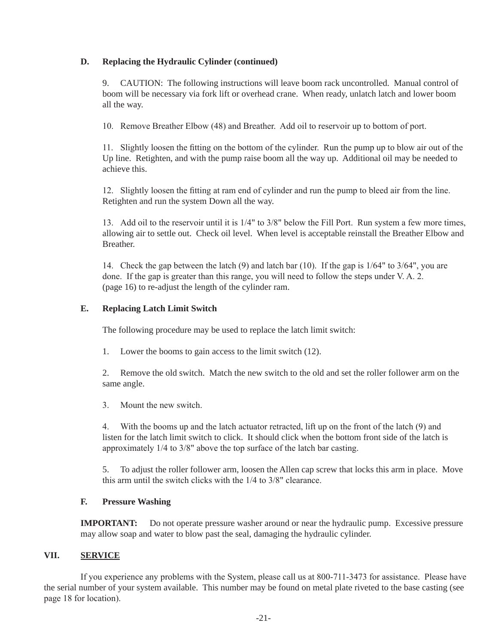## **D. Replacing the Hydraulic Cylinder (continued)**

9. CAUTION: The following instructions will leave boom rack uncontrolled. Manual control of boom will be necessary via fork lift or overhead crane. When ready, unlatch latch and lower boom all the way.

 10. Remove Breather Elbow (48) and Breather. Add oil to reservoir up to bottom of port.

 11. Slightly loosen the fitting on the bottom of the cylinder. Run the pump up to blow air out of the Up line. Retighten, and with the pump raise boom all the way up. Additional oil may be needed to achieve this.

 12. Slightly loosen the fitting at ram end of cylinder and run the pump to bleed air from the line. Retighten and run the system Down all the way.

 13. Add oil to the reservoir until it is 1/4" to 3/8" below the Fill Port. Run system a few more times, allowing air to settle out. Check oil level. When level is acceptable reinstall the Breather Elbow and Breather.

14. Check the gap between the latch (9) and latch bar (10). If the gap is  $1/64"$  to  $3/64"$ , you are done. If the gap is greater than this range, you will need to follow the steps under V. A. 2. (page 16) to re-adjust the length of the cylinder ram.

## **E. Replacing Latch Limit Switch**

The following procedure may be used to replace the latch limit switch:

1. Lower the booms to gain access to the limit switch (12).

2. Remove the old switch. Match the new switch to the old and set the roller follower arm on the same angle.

 3. Mount the new switch.

 4. With the booms up and the latch actuator retracted, lift up on the front of the latch (9) and listen for the latch limit switch to click. It should click when the bottom front side of the latch is approximately 1/4 to 3/8" above the top surface of the latch bar casting.

5. To adjust the roller follower arm, loosen the Allen cap screw that locks this arm in place. Move this arm until the switch clicks with the 1/4 to 3/8" clearance.

## **F. Pressure Washing**

**IMPORTANT:** Do not operate pressure washer around or near the hydraulic pump. Excessive pressure may allow soap and water to blow past the seal, damaging the hydraulic cylinder.

## **VII. SERVICE**

If you experience any problems with the System, please call us at 800-711-3473 for assistance. Please have the serial number of your system available. This number may be found on metal plate riveted to the base casting (see page 18 for location).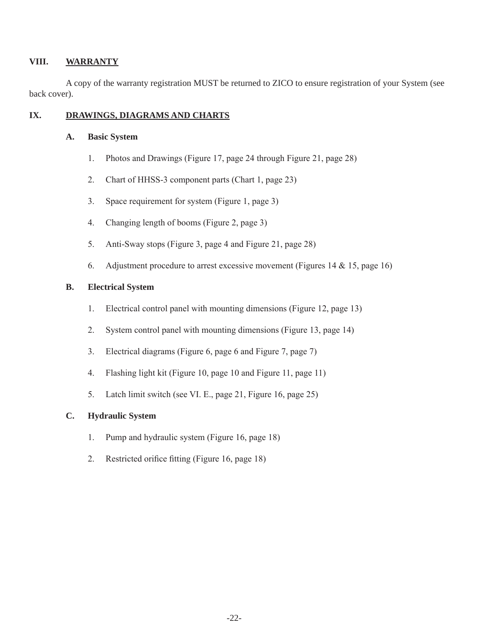## **VIII. WARRANTY**

A copy of the warranty registration MUST be returned to ZICO to ensure registration of your System (see back cover).

## **IX. DRAWINGS, DIAGRAMS AND CHARTS**

## **A. Basic System**

- 1. Photos and Drawings (Figure 17, page 24 through Figure 21, page 28)
- 2. Chart of HHSS-3 component parts (Chart 1, page 23)
- 3. Space requirement for system (Figure 1, page 3)
- 4. Changing length of booms (Figure 2, page 3)
- 5. Anti-Sway stops (Figure 3, page 4 and Figure 21, page 28)
- 6. Adjustment procedure to arrest excessive movement (Figures  $14 \& 15$ , page 16)

## **B. Electrical System**

- 1. Electrical control panel with mounting dimensions (Figure 12, page 13)
- 2. System control panel with mounting dimensions (Figure 13, page 14)
- 3. Electrical diagrams (Figure 6, page 6 and Figure 7, page 7)
- 4. Flashing light kit (Figure 10, page 10 and Figure 11, page 11)
- 5. Latch limit switch (see VI. E., page 21, Figure 16, page 25)

## **C. Hydraulic System**

- 1. Pump and hydraulic system (Figure 16, page 18)
- 2. Restricted orifice fitting (Figure 16, page 18)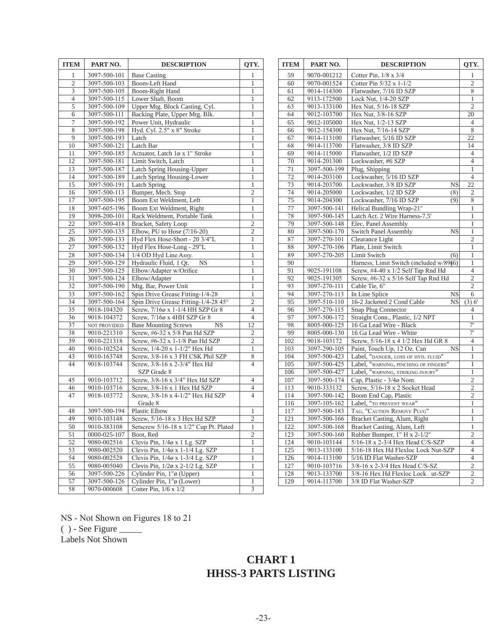| <b>ITEM</b>               | PART NO.                   | <b>DESCRIPTION</b>                                              | QTY.                             |
|---------------------------|----------------------------|-----------------------------------------------------------------|----------------------------------|
| 1                         | 3097-500-101               | <b>Base Casting</b>                                             | 1                                |
| $\overline{c}$            | 3097-500-103               | <b>Boom-Left Hand</b>                                           | 1                                |
| $\overline{\overline{3}}$ | 3097-500-105               | Boom-Right Hand                                                 | $\mathbf{1}$                     |
| $\overline{\mathcal{L}}$  | 3097-500-115               | Lower Shaft, Boom                                               | 1                                |
| 5                         | 3097-500-109               | Upper Mtg. Block Casting, Cyl.                                  | 1                                |
| 6                         | 3097-500-111               | Backing Plate, Upper Mtg. Blk.                                  | 1                                |
| 7                         | 3097-500-192               | Power Unit, Hydraulic                                           | 1                                |
| $\overline{8}$            | 3097-500-198               | Hyd. Cyl. 2.5" x 8" Stroke                                      | $\mathbf{1}$                     |
| 9                         | 3097-500-193               | Latch                                                           | 1                                |
| 10                        | 3097-500-121               | Latch Bar                                                       | 1                                |
| 11                        | 3097-500-185               | Actuator, Latch 1ø x 1" Stroke                                  | $\mathbf{1}$                     |
| 12                        | 3097-500-181               | Limit Switch, Latch                                             | 1                                |
| 13                        | 3097-500-187               | <b>Latch Spring Housing-Upper</b>                               | $\mathbf{1}$                     |
| 14                        | 3097-500-189               | Latch Spring Housing-Lower                                      | 1                                |
| 15                        | 3097-500-191               | <b>Latch Spring</b>                                             | 1                                |
| 16                        | 3097-500-113               | Bumper, Mech. Stop                                              | $\overline{c}$                   |
| 17                        | 3097-500-195               | Boom Ext Weldment, Left                                         | 1                                |
| $\overline{18}$           | 3097-605-196               | Boom Ext Weldment, Right                                        | $\mathbf{1}$                     |
| 19                        | 3098-200-101               | Rack Weldment, Portable Tank                                    | 1                                |
| 22                        | 3097-500-418               | <b>Bracket</b> , Safety Loop                                    | $\overline{c}$                   |
| 25                        | 3097-500-135               | Elbow, PU to Hose (7/16-20)                                     | $\overline{c}$                   |
| 26                        | 3097-500-133               | Hyd Flex Hose-Short - 20 3/4"L                                  | 1                                |
| $\overline{27}$           | 3097-500-132               | Hyd Flex Hose-Long - 29"L                                       | $\mathbf{1}$                     |
| 28                        | 3097-500-134               | 1/4 OD Hyd Line Assy.                                           | 1                                |
| 29                        | 3097-500-129               | Hydraulic Fluid, 1 Qt.<br>NS                                    | 1                                |
| 30                        | 3097-500-125               | Elbow/Adapter w/Orifice                                         | $\mathbf 1$                      |
| 31                        | 3097-500-124               | Elbow/Adapter                                                   | 1                                |
| 32                        | 3097-500-190               | Mtg. Bar, Power Unit                                            | $\mathbf{1}$                     |
| 33                        | 3097-500-162               | Spin Drive Grease Fitting-1/4-28                                | $\,1$                            |
| 34<br>35                  | 3097-500-164               | Spin Drive Grease Fitting-1/4-28 45°                            | $\overline{c}$<br>$\overline{4}$ |
| 36                        | 9018-104320<br>9018-104372 | Screw, 7/16ø x 1-1/4 HH SZP Gr 8<br>Screw, 7/16ø x 4HH SZP Gr 8 | $\overline{4}$                   |
| $\overline{37}$           | NOT PROVIDED               | <b>Base Mounting Screws</b><br><b>NS</b>                        | $\overline{12}$                  |
| 38                        | 9010-221310                | Screw, #6-32 x 5/8 Pan Hd SZP                                   | $\overline{c}$                   |
| 39                        | 9010-221318                | Screw, #6-32 x 1-1/8 Pan Hd SZP                                 | $\overline{2}$                   |
| 40                        | 9010-102524                | Screw, 1/4-20 x 1-1/2" Hex Hd                                   | $\mathbf{1}$                     |
| 43                        | 9010-163748                | Screw, 3/8-16 x 3 FH CSK Phil SZP                               | 8                                |
| 44                        | 9018-103744                | Screw, 3/8-16 x 2-3/4" Hex Hd                                   | $\overline{4}$                   |
|                           |                            | SZP Grade 8                                                     |                                  |
| 45                        | 9010-103712                | Screw, 3/8-16 x 3/4" Hex Hd SZP                                 | 4                                |
| 46                        | 9010-103716                | Screw, 3/8-16 x 1 Hex Hd SZP                                    | 4                                |
| 47                        | 9018-103772                | Screw, 3/8-16 x 4-1/2" Hex Hd SZP                               | $\overline{4}$                   |
|                           |                            | Grade 8                                                         |                                  |
| 48                        | 3097-500-194               | Plastic Elbow                                                   | 1                                |
| 49                        | 9010-103148                | Screw, 5/16-18 x 3 Hex Hd SZP                                   | $\overline{2}$                   |
| 50                        | 9010-383108                | Setscrew 5/16-18 x 1/2" Cup Pt. Plated                          | 1                                |
| 51                        | 0000-025-107               | Boot, Red                                                       | $\overline{c}$                   |
| 52                        | 9080-002516                | Clevis Pin, 1/4ø x 1 Lg. SZP                                    | 1                                |
| 53                        | 9080-002520                | Clevis Pin, $1/4\sigma$ x 1-1/4 Lg. SZP                         | 1                                |
| 54                        | 9080-002528                | Clevis Pin, $1/4\sigma$ x 1-3/4 Lg. SZP                         | 1                                |
| 55                        | 9080-005040                | Clevis Pin, $1/2\phi$ x 2- $1/2$ Lg. SZP                        | 1                                |
| 56                        | 3097-500-226               | Cylinder Pin, 1"ø (Upper)                                       | 1                                |
| 57                        | 3097-500-126               | Cylinder Pin, 1"ø (Lower)                                       | 1                                |
| 58                        | 9070-000608                | Cotter Pin, $1/6 \times 1/2$                                    | 3                                |

| <b>ITEM</b> | PART NO.     | <b>DESCRIPTION</b>                       | QTY.                    |
|-------------|--------------|------------------------------------------|-------------------------|
| 59          | 9070-001212  | Cotter Pin, $1/8 \times 3/4$             | 1                       |
| 60          | 9070-001524  | Cotter Pin 5/32 x 1-1/2                  | $\overline{c}$          |
| 61          | 9014-114300  | Flatwasher, 7/16 ID SZP                  | 8                       |
| 62          | 9113-172500  | Lock Nut, 1/4-20 SZP                     | 1                       |
| 63          | 9013-133100  | Hex Nut, 5/16-18 SZP                     | $\overline{2}$          |
| 64          | 9012-103700  | Hex Nut, 3/8-16 SZP                      | 20                      |
| 65          | 9012-105000  | Hex Nut, 1/2-13 SZP                      | 4                       |
| 66          | 9012-154300  | Hex Nut, 7/16-14 SZP                     | 8                       |
| 67          | 9014-113100  | Flatwasher, 5/16 ID SZP                  | 22                      |
| 68          | 9014-113700  | Flatwasher, 3/8 ID SZP                   | 14                      |
| 69          | 9014-115000  | Flatwasher, 1/2 ID SZP                   | 4                       |
| 70          | 9014-201300  | Lockwasher, #6 SZP                       | $\overline{4}$          |
| 71          | 3097-500-199 | Plug, Shipping                           | 1                       |
| 72          | 9014-203100  | Lockwasher, 5/16 ID SZP                  | 4                       |
| 73          | 9014-203700  | Lockwasher, 3/8 ID SZP<br>NS             | 22                      |
| 74          | 9014-205000  | Lockwasher, 1/2 ID SZP<br>(8)            | 2                       |
| 75          | 9014-204300  | Lockwasher, 7/16 ID SZP<br>(9)           | 8                       |
| 77          | 3097-500-141 | Helical Bundling Wrap-21"                | 1                       |
| 78          | 3097-500-145 | Latch Act. 2 Wire Harness-7.5'           | 1                       |
| 79          | 3097-500-148 | Elec. Panel Assembly                     | 1                       |
| 80          | 3097-500-170 | Switch Panel Assembly<br><b>NS</b>       | 1                       |
| 87          | 3097-270-101 | Clearance Light                          | $\overline{2}$          |
| 88          | 3097-270-106 | Plate, Limit Switch                      | 1                       |
| 89          | 3097-270-205 | Limit Switch<br>(6)                      | 1                       |
| 90          |              | Harness, Limit Switch (included w/89)(6) | 1                       |
| 91          | 9025-191108  | Screw, #4-40 x 1/2 Self Tap Rnd Hd       | 4                       |
| 92          | 9025-191305  | Screw, #6-32 x 5/16 Self Tap Rnd Hd      | $\overline{2}$          |
| 93          | 3097-270-111 | Cable Tie, 6"                            | 2                       |
| 94          | 3097-270-113 | In Line Splice<br><b>NS</b>              | 6                       |
| 95          | 3097-510-110 | 16-2 Jacketed 2 Cond Cable<br>NS         | (3) 6'                  |
| 96          | 3097-270-115 | Snap Plug Connector                      | 4                       |
| 97          | 3097-500-172 | Straight Conn., Plastic, 1/2 NPT         | 1                       |
| 98          | 8005-000-125 | 16 Ga Lead Wire - Black                  | 7'                      |
| 99          | 8005-000-130 | 16 Ga Lead Wire - White                  | 7'                      |
| 102         | 9018-103172  | Screw, 5/16-18 x 4 1/2 Hex Hd GR 8       | $\overline{4}$          |
| 103         | 3097-290-105 | Paint, Touch Up, 12 Oz. Can<br><b>NS</b> | 1                       |
| 104         | 3097-500-423 | Label, "DANGER, LOSS OF HYD. FLUID"      | 1                       |
| 105         | 3097-500-425 | Label, "WARNING, PINCHING OF FINGERS"    | 1                       |
| 106         | 3097-500-427 | Label, "WARNING, STRIKING INJURY"        | 1                       |
| 107         | 3097-500-174 | Cap, Plastic - 3/4ø Nom.                 | $\overline{c}$          |
| 113         | 9010-333132  | Screw, 5/16-18 x 2 Socket Head           | $\overline{c}$          |
| 114         | 3097-500-142 | Boom End Cap, Plastic                    | $\overline{2}$          |
| 116         | 3097-105-162 | Label, "TO PREVENT WEAR"                 | 1                       |
| 117         | 3097-500-183 | TAG, "CAUTION REMOVE PLUG"               | 1                       |
| $121\,$     | 3097-500-166 | Bracket Casting, Alum, Right             | $\mathbf{1}$            |
| 122         | 3097-500-168 | Bracket Casting, Alum, Left              | 1                       |
| 123         | 3097-500-160 | Rubber Bumper, 1" H x 2-1/2"             | $\overline{c}$          |
| 124         | 9010-103144  | 5/16-18 x 2-3/4 Hex Head C/S-SZP         | 4                       |
| 125         | 9013-133100  | 5/16-18 Hex Hd Flexloc Lock Nut-SZP      | 4                       |
| 126         | 9014-113100  | 5/16 ID Flat Washer-SZP                  | $\overline{4}$          |
| 127         | 9010-103716  | 3/8-16 x 2-3/4 Hex Head C/S-SZ           | $\overline{\mathbf{c}}$ |
| 128         | 9013-133700  | 3/8-16 Hex Hd Flexloc Lock<br>ut-SZP     | $\overline{c}$          |
| 129         | 9014-113700  | 3/8 ID Flat Washer-SZP                   | $\overline{c}$          |

NS - Not Shown on Figures 18 to 21

 $( )$  - See Figure  $\_\_$ 

Labels Not Shown

## **CHART 1 HHSS-3 PARTS LISTING**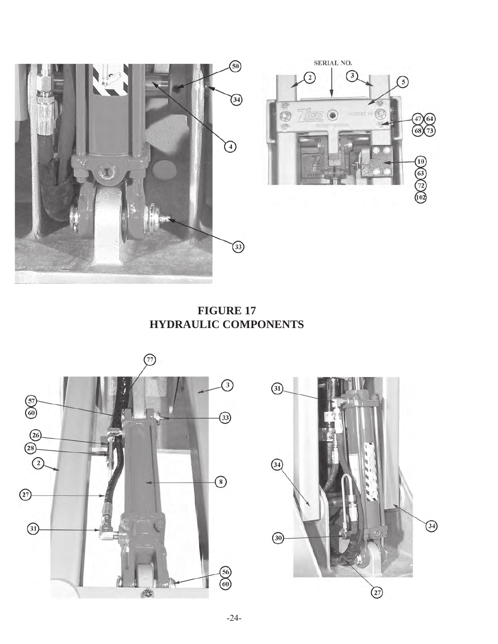

**FIGURE 17 HYDRAULIC COMPONENTS**



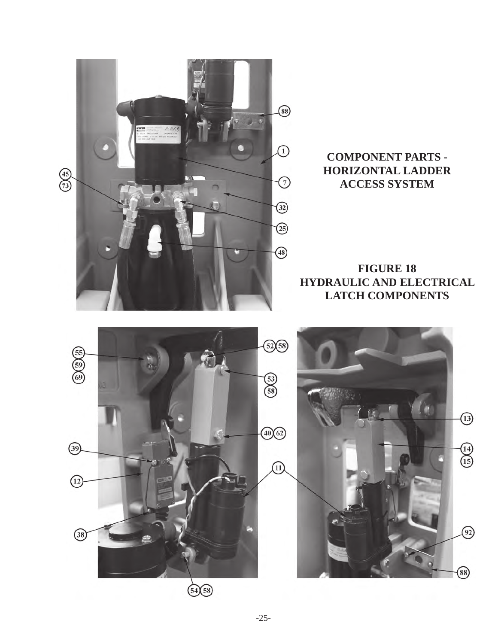

## **COMPONENT PARTS - HORIZONTAL LADDER ACCESS SYSTEM**

**FIGURE 18 HYDRAULIC AND ELECTRICAL LATCH COMPONENTS**



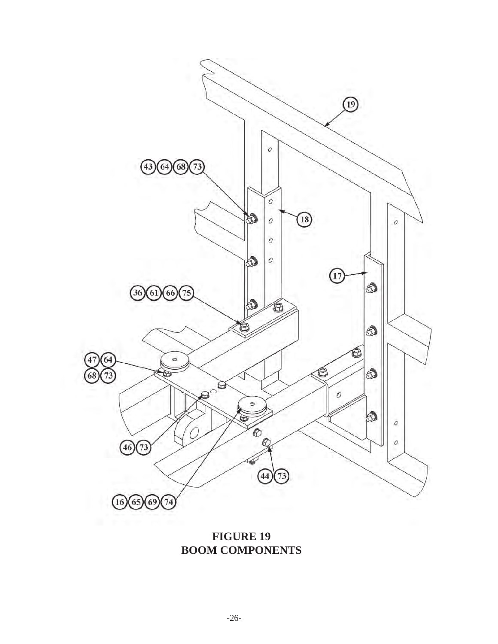

**FIGURE 19 BOOM COMPONENTS**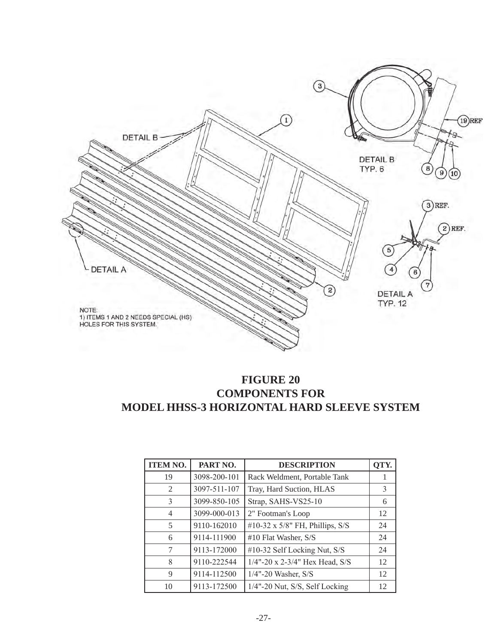

## **FIGURE 20 COMPONENTS FOR MODEL HHSS-3 HORIZONTAL HARD SLEEVE SYSTEM**

| <b>ITEM NO.</b> | PART NO.     | <b>DESCRIPTION</b>                 | OTY. |
|-----------------|--------------|------------------------------------|------|
| 19              | 3098-200-101 | Rack Weldment, Portable Tank       |      |
| 2               | 3097-511-107 | Tray, Hard Suction, HLAS           | 3    |
| 3               | 3099-850-105 | Strap, SAHS-VS25-10                | 6    |
| 4               | 3099-000-013 | 2" Footman's Loop                  | 12   |
| 5               | 9110-162010  | #10-32 x $5/8$ " FH, Phillips, S/S | 24   |
| 6               | 9114-111900  | #10 Flat Washer, S/S               | 24   |
| 7               | 9113-172000  | #10-32 Self Locking Nut, S/S       | 24   |
| 8               | 9110-222544  | $1/4$ "-20 x 2-3/4" Hex Head, S/S  | 12   |
| 9               | 9114-112500  | $1/4$ "-20 Washer, S/S             | 12   |
| 10              | 9113-172500  | 1/4"-20 Nut, S/S, Self Locking     | 12   |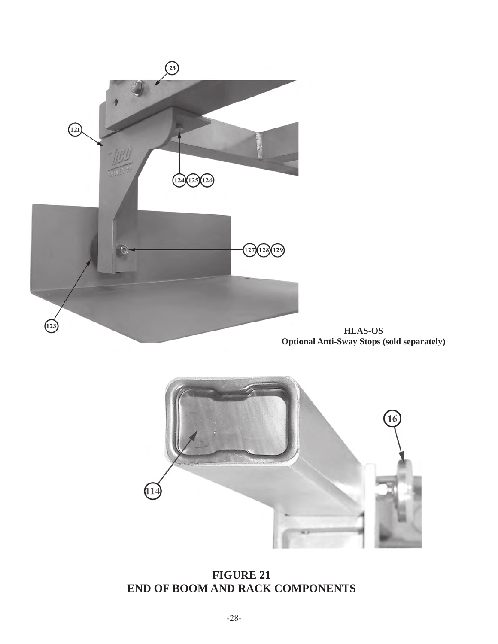

**HLAS-OS Optional Anti-Sway Stops (sold separately)**



**FIGURE 21 END OF BOOM AND RACK COMPONENTS**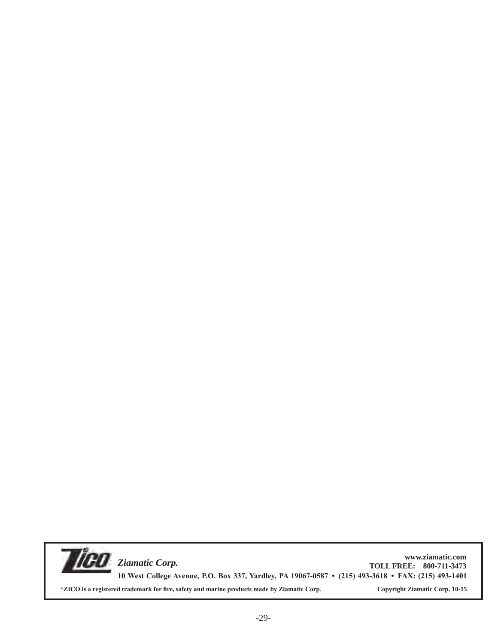